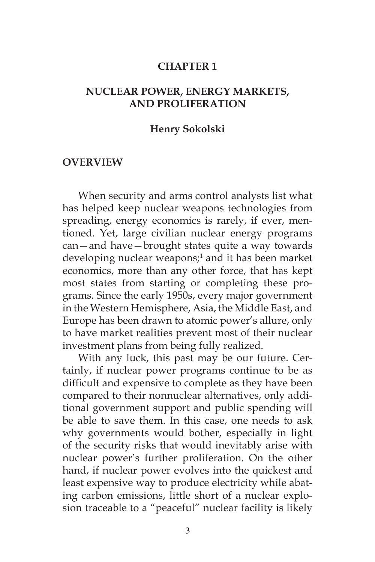#### **CHAPTER 1**

# **NUCLEAR POWER, ENERGY MARKETS, AND PROLIFERATION**

#### **Henry Sokolski**

#### **OVERVIEW**

When security and arms control analysts list what has helped keep nuclear weapons technologies from spreading, energy economics is rarely, if ever, mentioned. Yet, large civilian nuclear energy programs can—and have—brought states quite a way towards developing nuclear weapons;<sup>1</sup> and it has been market economics, more than any other force, that has kept most states from starting or completing these programs. Since the early 1950s, every major government in the Western Hemisphere, Asia, the Middle East, and Europe has been drawn to atomic power's allure, only to have market realities prevent most of their nuclear investment plans from being fully realized.

With any luck, this past may be our future. Certainly, if nuclear power programs continue to be as difficult and expensive to complete as they have been compared to their nonnuclear alternatives, only additional government support and public spending will be able to save them. In this case, one needs to ask why governments would bother, especially in light of the security risks that would inevitably arise with nuclear power's further proliferation. On the other hand, if nuclear power evolves into the quickest and least expensive way to produce electricity while abating carbon emissions, little short of a nuclear explosion traceable to a "peaceful" nuclear facility is likely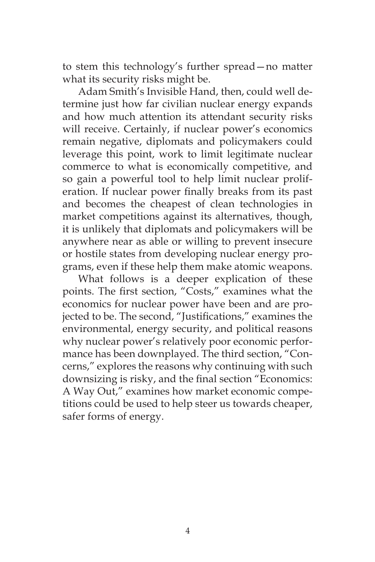to stem this technology's further spread—no matter what its security risks might be.

Adam Smith's Invisible Hand, then, could well determine just how far civilian nuclear energy expands and how much attention its attendant security risks will receive. Certainly, if nuclear power's economics remain negative, diplomats and policymakers could leverage this point, work to limit legitimate nuclear commerce to what is economically competitive, and so gain a powerful tool to help limit nuclear proliferation. If nuclear power finally breaks from its past and becomes the cheapest of clean technologies in market competitions against its alternatives, though, it is unlikely that diplomats and policymakers will be anywhere near as able or willing to prevent insecure or hostile states from developing nuclear energy programs, even if these help them make atomic weapons.

What follows is a deeper explication of these points. The first section, "Costs," examines what the economics for nuclear power have been and are projected to be. The second, "Justifications," examines the environmental, energy security, and political reasons why nuclear power's relatively poor economic performance has been downplayed. The third section, "Concerns," explores the reasons why continuing with such downsizing is risky, and the final section "Economics: A Way Out," examines how market economic competitions could be used to help steer us towards cheaper, safer forms of energy.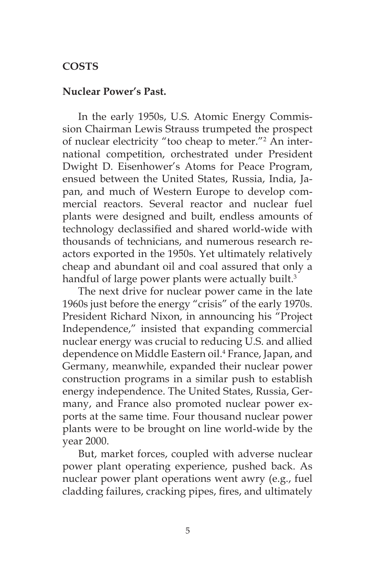### **COSTS**

#### **Nuclear Power's Past.**

In the early 1950s, U.S. Atomic Energy Commission Chairman Lewis Strauss trumpeted the prospect of nuclear electricity "too cheap to meter."<sup>2</sup> An international competition, orchestrated under President Dwight D. Eisenhower's Atoms for Peace Program, ensued between the United States, Russia, India, Japan, and much of Western Europe to develop commercial reactors. Several reactor and nuclear fuel plants were designed and built, endless amounts of technology declassified and shared world-wide with thousands of technicians, and numerous research reactors exported in the 1950s. Yet ultimately relatively cheap and abundant oil and coal assured that only a handful of large power plants were actually built.<sup>3</sup>

The next drive for nuclear power came in the late 1960s just before the energy "crisis" of the early 1970s. President Richard Nixon, in announcing his "Project Independence," insisted that expanding commercial nuclear energy was crucial to reducing U.S. and allied dependence on Middle Eastern oil.<sup>4</sup> France, Japan, and Germany, meanwhile, expanded their nuclear power construction programs in a similar push to establish energy independence. The United States, Russia, Germany, and France also promoted nuclear power exports at the same time. Four thousand nuclear power plants were to be brought on line world-wide by the year 2000.

But, market forces, coupled with adverse nuclear power plant operating experience, pushed back. As nuclear power plant operations went awry (e.g., fuel cladding failures, cracking pipes, fires, and ultimately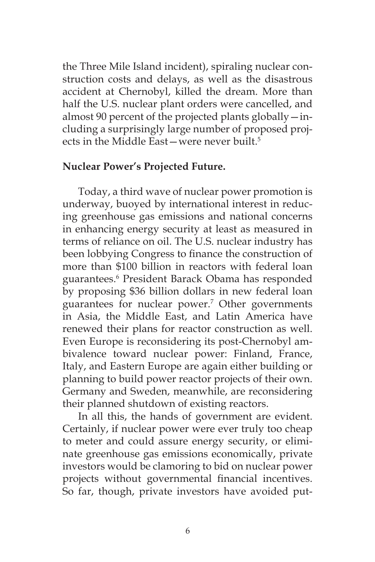the Three Mile Island incident), spiraling nuclear construction costs and delays, as well as the disastrous accident at Chernobyl, killed the dream. More than half the U.S. nuclear plant orders were cancelled, and almost 90 percent of the projected plants globally—including a surprisingly large number of proposed projects in the Middle East-were never built.<sup>5</sup>

### **Nuclear Power's Projected Future.**

Today, a third wave of nuclear power promotion is underway, buoyed by international interest in reducing greenhouse gas emissions and national concerns in enhancing energy security at least as measured in terms of reliance on oil. The U.S. nuclear industry has been lobbying Congress to finance the construction of more than \$100 billion in reactors with federal loan guarantees.6 President Barack Obama has responded by proposing \$36 billion dollars in new federal loan guarantees for nuclear power.7 Other governments in Asia, the Middle East, and Latin America have renewed their plans for reactor construction as well. Even Europe is reconsidering its post-Chernobyl ambivalence toward nuclear power: Finland, France, Italy, and Eastern Europe are again either building or planning to build power reactor projects of their own. Germany and Sweden, meanwhile, are reconsidering their planned shutdown of existing reactors.

In all this, the hands of government are evident. Certainly, if nuclear power were ever truly too cheap to meter and could assure energy security, or eliminate greenhouse gas emissions economically, private investors would be clamoring to bid on nuclear power projects without governmental financial incentives. So far, though, private investors have avoided put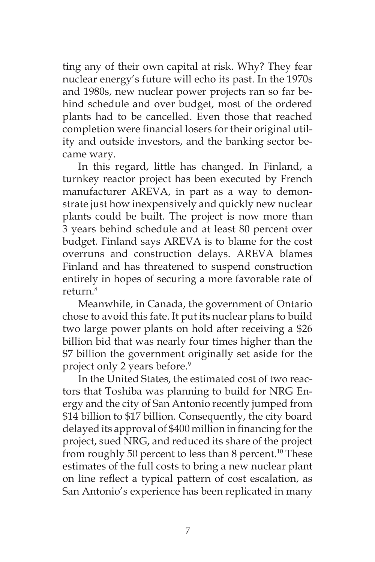ting any of their own capital at risk. Why? They fear nuclear energy's future will echo its past. In the 1970s and 1980s, new nuclear power projects ran so far behind schedule and over budget, most of the ordered plants had to be cancelled. Even those that reached completion were financial losers for their original utility and outside investors, and the banking sector became wary.

In this regard, little has changed. In Finland, a turnkey reactor project has been executed by French manufacturer AREVA, in part as a way to demonstrate just how inexpensively and quickly new nuclear plants could be built. The project is now more than 3 years behind schedule and at least 80 percent over budget. Finland says AREVA is to blame for the cost overruns and construction delays. AREVA blames Finland and has threatened to suspend construction entirely in hopes of securing a more favorable rate of return.8

Meanwhile, in Canada, the government of Ontario chose to avoid this fate. It put its nuclear plans to build two large power plants on hold after receiving a \$26 billion bid that was nearly four times higher than the \$7 billion the government originally set aside for the project only 2 years before.<sup>9</sup>

In the United States, the estimated cost of two reactors that Toshiba was planning to build for NRG Energy and the city of San Antonio recently jumped from \$14 billion to \$17 billion. Consequently, the city board delayed its approval of \$400 million in financing for the project, sued NRG, and reduced its share of the project from roughly 50 percent to less than 8 percent.<sup>10</sup> These estimates of the full costs to bring a new nuclear plant on line reflect a typical pattern of cost escalation, as San Antonio's experience has been replicated in many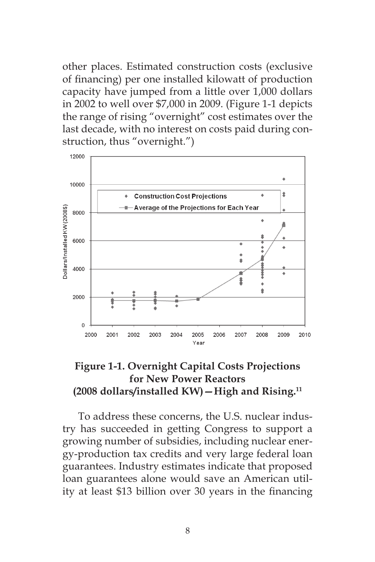other places. Estimated construction costs (exclusive of financing) per one installed kilowatt of production capacity have jumped from a little over 1,000 dollars in 2002 to well over \$7,000 in 2009. (Figure 1-1 depicts the range of rising "overnight" cost estimates over the last decade, with no interest on costs paid during construction, thus "overnight.")



# **Figure 1-1. Overnight Capital Costs Projections for New Power Reactors (2008 dollars/installed KW)—High and Rising.11**

To address these concerns, the U.S. nuclear industry has succeeded in getting Congress to support a growing number of subsidies, including nuclear energy-production tax credits and very large federal loan guarantees. Industry estimates indicate that proposed loan guarantees alone would save an American utility at least \$13 billion over 30 years in the financing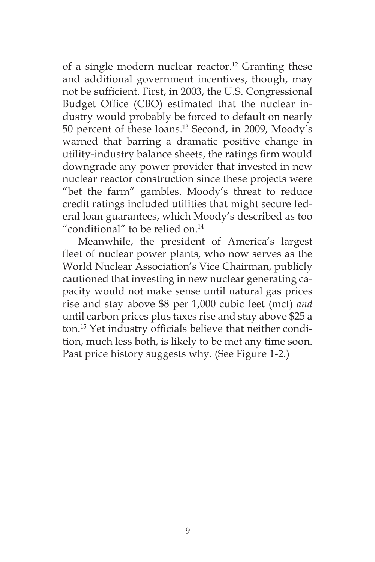of a single modern nuclear reactor.<sup>12</sup> Granting these and additional government incentives, though, may not be sufficient. First, in 2003, the U.S. Congressional Budget Office (CBO) estimated that the nuclear industry would probably be forced to default on nearly 50 percent of these loans.13 Second, in 2009, Moody's warned that barring a dramatic positive change in utility-industry balance sheets, the ratings firm would downgrade any power provider that invested in new nuclear reactor construction since these projects were "bet the farm" gambles. Moody's threat to reduce credit ratings included utilities that might secure federal loan guarantees, which Moody's described as too "conditional" to be relied on.<sup>14</sup>

Meanwhile, the president of America's largest fleet of nuclear power plants, who now serves as the World Nuclear Association's Vice Chairman, publicly cautioned that investing in new nuclear generating capacity would not make sense until natural gas prices rise and stay above \$8 per 1,000 cubic feet (mcf) *and* until carbon prices plus taxes rise and stay above \$25 a ton.15 Yet industry officials believe that neither condition, much less both, is likely to be met any time soon. Past price history suggests why. (See Figure 1-2.)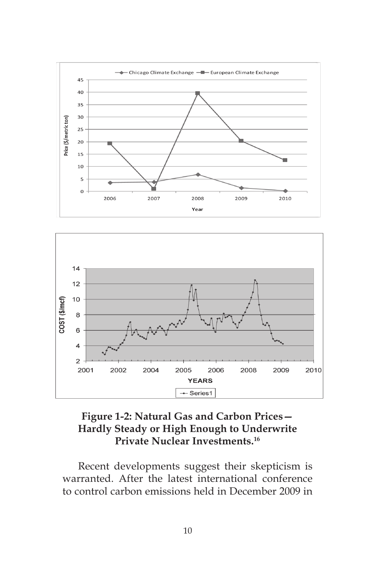



# **Figure 1-2: Natural Gas and Carbon Prices— Hardly Steady or High Enough to Underwrite Private Nuclear Investments.16**

Recent developments suggest their skepticism is warranted. After the latest international conference to control carbon emissions held in December 2009 in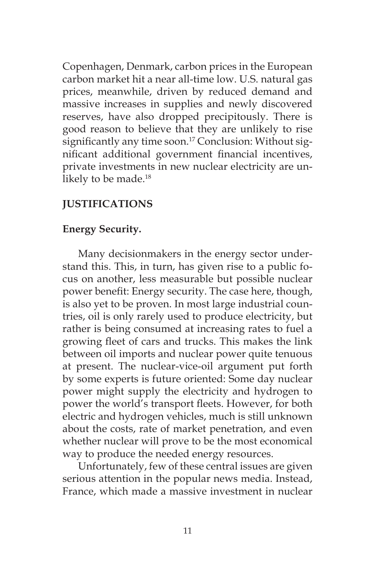Copenhagen, Denmark, carbon prices in the European carbon market hit a near all-time low. U.S. natural gas prices, meanwhile, driven by reduced demand and massive increases in supplies and newly discovered reserves, have also dropped precipitously. There is good reason to believe that they are unlikely to rise significantly any time soon.<sup>17</sup> Conclusion: Without significant additional government financial incentives, private investments in new nuclear electricity are unlikely to be made.<sup>18</sup>

# **JUSTIFICATIONS**

# **Energy Security.**

Many decisionmakers in the energy sector understand this. This, in turn, has given rise to a public focus on another, less measurable but possible nuclear power benefit: Energy security. The case here, though, is also yet to be proven. In most large industrial countries, oil is only rarely used to produce electricity, but rather is being consumed at increasing rates to fuel a growing fleet of cars and trucks. This makes the link between oil imports and nuclear power quite tenuous at present. The nuclear-vice-oil argument put forth by some experts is future oriented: Some day nuclear power might supply the electricity and hydrogen to power the world's transport fleets. However, for both electric and hydrogen vehicles, much is still unknown about the costs, rate of market penetration, and even whether nuclear will prove to be the most economical way to produce the needed energy resources.

Unfortunately, few of these central issues are given serious attention in the popular news media. Instead, France, which made a massive investment in nuclear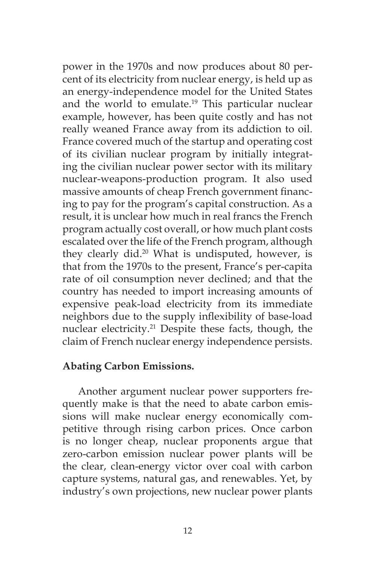power in the 1970s and now produces about 80 percent of its electricity from nuclear energy, is held up as an energy-independence model for the United States and the world to emulate.<sup>19</sup> This particular nuclear example, however, has been quite costly and has not really weaned France away from its addiction to oil. France covered much of the startup and operating cost of its civilian nuclear program by initially integrating the civilian nuclear power sector with its military nuclear-weapons-production program. It also used massive amounts of cheap French government financing to pay for the program's capital construction. As a result, it is unclear how much in real francs the French program actually cost overall, or how much plant costs escalated over the life of the French program, although they clearly did.<sup>20</sup> What is undisputed, however, is that from the 1970s to the present, France's per-capita rate of oil consumption never declined; and that the country has needed to import increasing amounts of expensive peak-load electricity from its immediate neighbors due to the supply inflexibility of base-load nuclear electricity.21 Despite these facts, though, the claim of French nuclear energy independence persists.

### **Abating Carbon Emissions.**

Another argument nuclear power supporters frequently make is that the need to abate carbon emissions will make nuclear energy economically competitive through rising carbon prices. Once carbon is no longer cheap, nuclear proponents argue that zero-carbon emission nuclear power plants will be the clear, clean-energy victor over coal with carbon capture systems, natural gas, and renewables. Yet, by industry's own projections, new nuclear power plants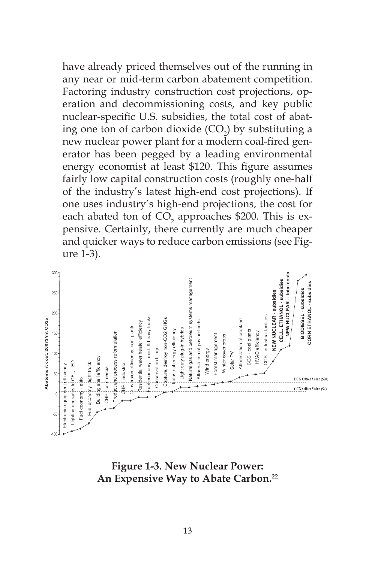have already priced themselves out of the running in any near or mid-term carbon abatement competition. Factoring industry construction cost projections, operation and decommissioning costs, and key public nuclear-specific U.S. subsidies, the total cost of abating one ton of carbon dioxide  $(CO_2)$  by substituting a new nuclear power plant for a modern coal-fired generator has been pegged by a leading environmental energy economist at least \$120. This figure assumes fairly low capital construction costs (roughly one-half of the industry's latest high-end cost projections). If one uses industry's high-end projections, the cost for each abated ton of  $\mathrm{CO}_2$  approaches \$200. This is expensive. Certainly, there currently are much cheaper and quicker ways to reduce carbon emissions (see Figure 1-3).



**Figure 1-3. New Nuclear Power: An Expensive Way to Abate Carbon.22**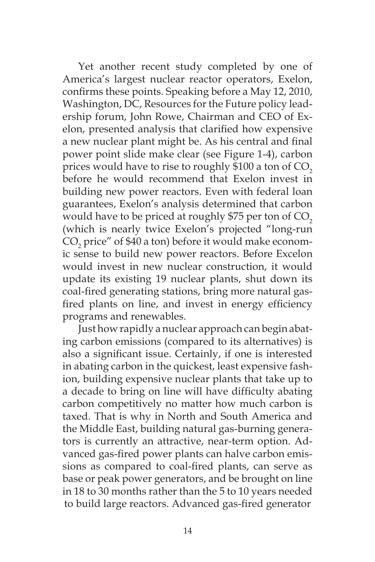Yet another recent study completed by one of America's largest nuclear reactor operators, Exelon, confirms these points. Speaking before a May 12, 2010, Washington, DC, Resources for the Future policy leadership forum, John Rowe, Chairman and CEO of Exelon, presented analysis that clarified how expensive a new nuclear plant might be. As his central and final power point slide make clear (see Figure 1-4), carbon prices would have to rise to roughly \$100 a ton of CO<sub>2</sub> before he would recommend that Exelon invest in building new power reactors. Even with federal loan guarantees, Exelon's analysis determined that carbon would have to be priced at roughly  $$75$  per ton of CO<sub>2</sub> (which is nearly twice Exelon's projected "long-run  $\mathrm{CO}_2^{\phantom{\dag}}$  price" of \$40 a ton) before it would make economic sense to build new power reactors. Before Excelon would invest in new nuclear construction, it would update its existing 19 nuclear plants, shut down its coal-fired generating stations, bring more natural gasfired plants on line, and invest in energy efficiency programs and renewables.

Just how rapidly a nuclear approach can begin abating carbon emissions (compared to its alternatives) is also a significant issue. Certainly, if one is interested in abating carbon in the quickest, least expensive fashion, building expensive nuclear plants that take up to a decade to bring on line will have difficulty abating carbon competitively no matter how much carbon is taxed. That is why in North and South America and the Middle East, building natural gas-burning generators is currently an attractive, near-term option. Advanced gas-fired power plants can halve carbon emissions as compared to coal-fired plants, can serve as base or peak power generators, and be brought on line in 18 to 30 months rather than the 5 to 10 years needed to build large reactors. Advanced gas-fired generator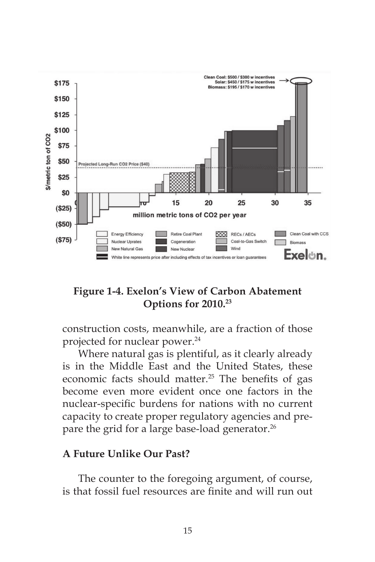

# **Figure 1-4. Exelon's View of Carbon Abatement Options for 2010.23**

construction costs, meanwhile, are a fraction of those projected for nuclear power.<sup>24</sup>

Where natural gas is plentiful, as it clearly already is in the Middle East and the United States, these economic facts should matter.25 The benefits of gas become even more evident once one factors in the nuclear-specific burdens for nations with no current capacity to create proper regulatory agencies and prepare the grid for a large base-load generator.<sup>26</sup>

### **A Future Unlike Our Past?**

The counter to the foregoing argument, of course, is that fossil fuel resources are finite and will run out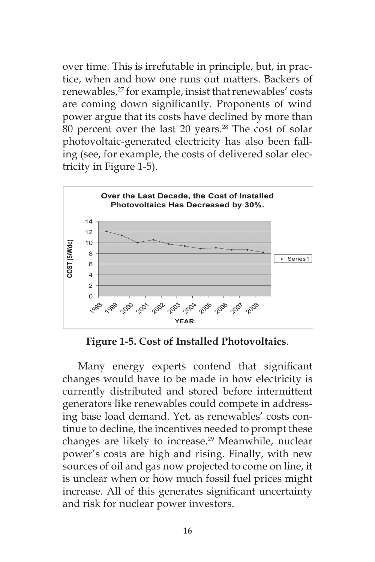over time. This is irrefutable in principle, but, in practice, when and how one runs out matters. Backers of renewables,<sup>27</sup> for example, insist that renewables' costs are coming down significantly. Proponents of wind power argue that its costs have declined by more than 80 percent over the last 20 years.28 The cost of solar photovoltaic-generated electricity has also been falling (see, for example, the costs of delivered solar electricity in Figure 1-5).



**Figure 1-5. Cost of Installed Photovoltaics**.

Many energy experts contend that significant changes would have to be made in how electricity is currently distributed and stored before intermittent generators like renewables could compete in addressing base load demand. Yet, as renewables' costs continue to decline, the incentives needed to prompt these changes are likely to increase.<sup>29</sup> Meanwhile, nuclear power's costs are high and rising. Finally, with new sources of oil and gas now projected to come on line, it is unclear when or how much fossil fuel prices might increase. All of this generates significant uncertainty and risk for nuclear power investors.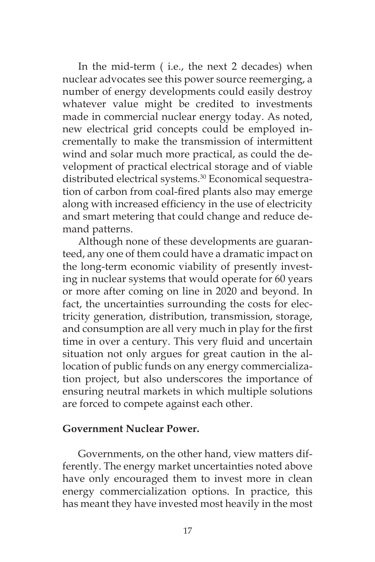In the mid-term ( i.e., the next 2 decades) when nuclear advocates see this power source reemerging, a number of energy developments could easily destroy whatever value might be credited to investments made in commercial nuclear energy today. As noted, new electrical grid concepts could be employed incrementally to make the transmission of intermittent wind and solar much more practical, as could the development of practical electrical storage and of viable distributed electrical systems.<sup>30</sup> Economical sequestration of carbon from coal-fired plants also may emerge along with increased efficiency in the use of electricity and smart metering that could change and reduce demand patterns.

Although none of these developments are guaranteed, any one of them could have a dramatic impact on the long-term economic viability of presently investing in nuclear systems that would operate for 60 years or more after coming on line in 2020 and beyond. In fact, the uncertainties surrounding the costs for electricity generation, distribution, transmission, storage, and consumption are all very much in play for the first time in over a century. This very fluid and uncertain situation not only argues for great caution in the allocation of public funds on any energy commercialization project, but also underscores the importance of ensuring neutral markets in which multiple solutions are forced to compete against each other.

### **Government Nuclear Power.**

Governments, on the other hand, view matters differently. The energy market uncertainties noted above have only encouraged them to invest more in clean energy commercialization options. In practice, this has meant they have invested most heavily in the most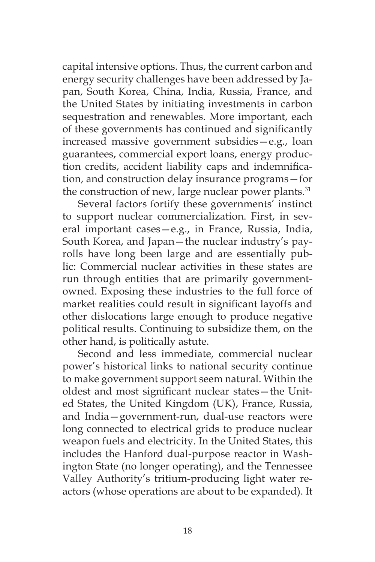capital intensive options. Thus, the current carbon and energy security challenges have been addressed by Japan, South Korea, China, India, Russia, France, and the United States by initiating investments in carbon sequestration and renewables. More important, each of these governments has continued and significantly increased massive government subsidies—e.g., loan guarantees, commercial export loans, energy production credits, accident liability caps and indemnification, and construction delay insurance programs—for the construction of new, large nuclear power plants.<sup>31</sup>

Several factors fortify these governments' instinct to support nuclear commercialization. First, in several important cases—e.g., in France, Russia, India, South Korea, and Japan—the nuclear industry's payrolls have long been large and are essentially public: Commercial nuclear activities in these states are run through entities that are primarily governmentowned. Exposing these industries to the full force of market realities could result in significant layoffs and other dislocations large enough to produce negative political results. Continuing to subsidize them, on the other hand, is politically astute.

Second and less immediate, commercial nuclear power's historical links to national security continue to make government support seem natural. Within the oldest and most significant nuclear states—the United States, the United Kingdom (UK), France, Russia, and India—government-run, dual-use reactors were long connected to electrical grids to produce nuclear weapon fuels and electricity. In the United States, this includes the Hanford dual-purpose reactor in Washington State (no longer operating), and the Tennessee Valley Authority's tritium-producing light water reactors (whose operations are about to be expanded). It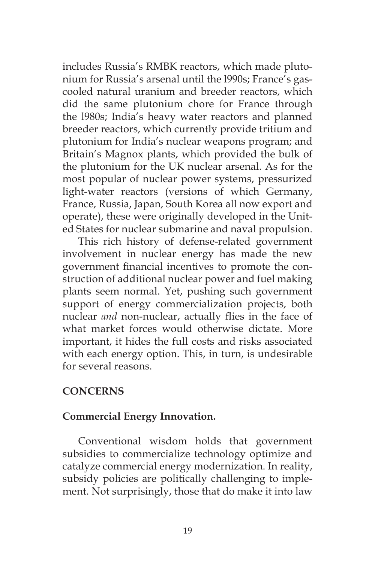includes Russia's RMBK reactors, which made plutonium for Russia's arsenal until the l990s; France's gascooled natural uranium and breeder reactors, which did the same plutonium chore for France through the l980s; India's heavy water reactors and planned breeder reactors, which currently provide tritium and plutonium for India's nuclear weapons program; and Britain's Magnox plants, which provided the bulk of the plutonium for the UK nuclear arsenal. As for the most popular of nuclear power systems, pressurized light-water reactors (versions of which Germany, France, Russia, Japan, South Korea all now export and operate), these were originally developed in the United States for nuclear submarine and naval propulsion.

This rich history of defense-related government involvement in nuclear energy has made the new government financial incentives to promote the construction of additional nuclear power and fuel making plants seem normal. Yet, pushing such government support of energy commercialization projects, both nuclear *and* non-nuclear, actually flies in the face of what market forces would otherwise dictate. More important, it hides the full costs and risks associated with each energy option. This, in turn, is undesirable for several reasons.

# **CONCERNS**

### **Commercial Energy Innovation.**

Conventional wisdom holds that government subsidies to commercialize technology optimize and catalyze commercial energy modernization. In reality, subsidy policies are politically challenging to implement. Not surprisingly, those that do make it into law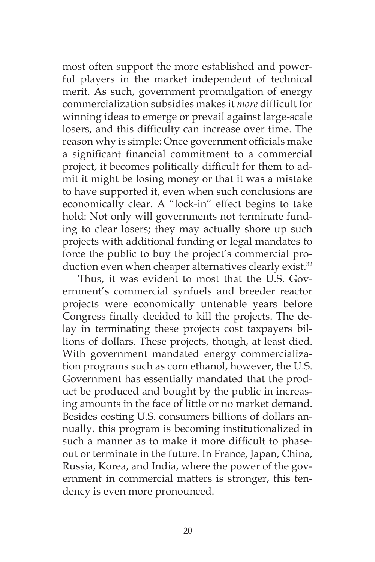most often support the more established and powerful players in the market independent of technical merit. As such, government promulgation of energy commercialization subsidies makes it *more* difficult for winning ideas to emerge or prevail against large-scale losers, and this difficulty can increase over time. The reason why is simple: Once government officials make a significant financial commitment to a commercial project, it becomes politically difficult for them to admit it might be losing money or that it was a mistake to have supported it, even when such conclusions are economically clear. A "lock-in" effect begins to take hold: Not only will governments not terminate funding to clear losers; they may actually shore up such projects with additional funding or legal mandates to force the public to buy the project's commercial production even when cheaper alternatives clearly exist.<sup>32</sup>

Thus, it was evident to most that the U.S. Government's commercial synfuels and breeder reactor projects were economically untenable years before Congress finally decided to kill the projects. The delay in terminating these projects cost taxpayers billions of dollars. These projects, though, at least died. With government mandated energy commercialization programs such as corn ethanol, however, the U.S. Government has essentially mandated that the product be produced and bought by the public in increasing amounts in the face of little or no market demand. Besides costing U.S. consumers billions of dollars annually, this program is becoming institutionalized in such a manner as to make it more difficult to phaseout or terminate in the future. In France, Japan, China, Russia, Korea, and India, where the power of the government in commercial matters is stronger, this tendency is even more pronounced.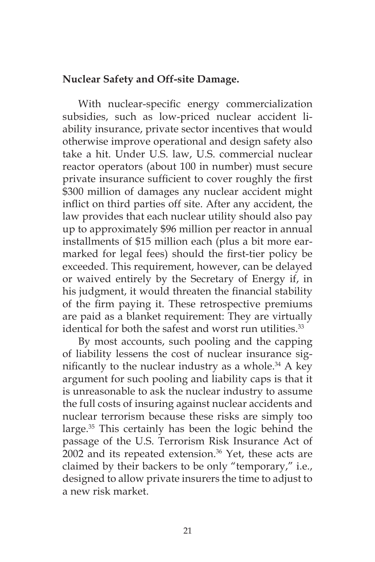### **Nuclear Safety and Off-site Damage.**

With nuclear-specific energy commercialization subsidies, such as low-priced nuclear accident liability insurance, private sector incentives that would otherwise improve operational and design safety also take a hit. Under U.S. law, U.S. commercial nuclear reactor operators (about 100 in number) must secure private insurance sufficient to cover roughly the first \$300 million of damages any nuclear accident might inflict on third parties off site. After any accident, the law provides that each nuclear utility should also pay up to approximately \$96 million per reactor in annual installments of \$15 million each (plus a bit more earmarked for legal fees) should the first-tier policy be exceeded. This requirement, however, can be delayed or waived entirely by the Secretary of Energy if, in his judgment, it would threaten the financial stability of the firm paying it. These retrospective premiums are paid as a blanket requirement: They are virtually identical for both the safest and worst run utilities. $33$ 

By most accounts, such pooling and the capping of liability lessens the cost of nuclear insurance significantly to the nuclear industry as a whole. $34$  A key argument for such pooling and liability caps is that it is unreasonable to ask the nuclear industry to assume the full costs of insuring against nuclear accidents and nuclear terrorism because these risks are simply too large.<sup>35</sup> This certainly has been the logic behind the passage of the U.S. Terrorism Risk Insurance Act of 2002 and its repeated extension. $36$  Yet, these acts are claimed by their backers to be only "temporary," i.e., designed to allow private insurers the time to adjust to a new risk market.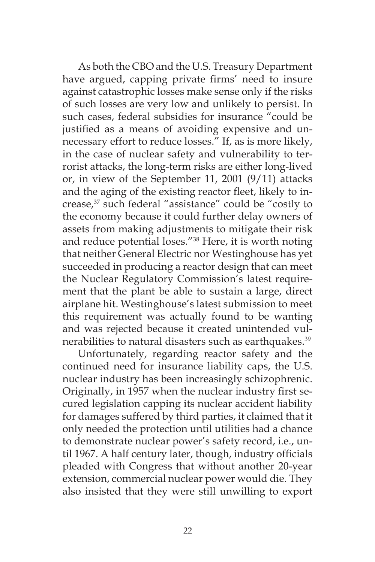As both the CBO and the U.S. Treasury Department have argued, capping private firms' need to insure against catastrophic losses make sense only if the risks of such losses are very low and unlikely to persist. In such cases, federal subsidies for insurance "could be justified as a means of avoiding expensive and unnecessary effort to reduce losses." If, as is more likely, in the case of nuclear safety and vulnerability to terrorist attacks, the long-term risks are either long-lived or, in view of the September 11, 2001 (9/11) attacks and the aging of the existing reactor fleet, likely to increase,<sup>37</sup> such federal "assistance" could be "costly to the economy because it could further delay owners of assets from making adjustments to mitigate their risk and reduce potential loses."38 Here, it is worth noting that neither General Electric nor Westinghouse has yet succeeded in producing a reactor design that can meet the Nuclear Regulatory Commission's latest requirement that the plant be able to sustain a large, direct airplane hit. Westinghouse's latest submission to meet this requirement was actually found to be wanting and was rejected because it created unintended vulnerabilities to natural disasters such as earthquakes.<sup>39</sup>

Unfortunately, regarding reactor safety and the continued need for insurance liability caps, the U.S. nuclear industry has been increasingly schizophrenic. Originally, in 1957 when the nuclear industry first secured legislation capping its nuclear accident liability for damages suffered by third parties, it claimed that it only needed the protection until utilities had a chance to demonstrate nuclear power's safety record, i.e., until 1967. A half century later, though, industry officials pleaded with Congress that without another 20-year extension, commercial nuclear power would die. They also insisted that they were still unwilling to export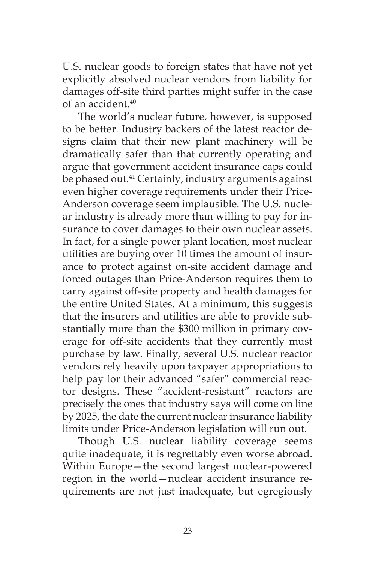U.S. nuclear goods to foreign states that have not yet explicitly absolved nuclear vendors from liability for damages off-site third parties might suffer in the case of an accident.40

The world's nuclear future, however, is supposed to be better. Industry backers of the latest reactor designs claim that their new plant machinery will be dramatically safer than that currently operating and argue that government accident insurance caps could be phased out.<sup>41</sup> Certainly, industry arguments against even higher coverage requirements under their Price-Anderson coverage seem implausible. The U.S. nuclear industry is already more than willing to pay for insurance to cover damages to their own nuclear assets. In fact, for a single power plant location, most nuclear utilities are buying over 10 times the amount of insurance to protect against on-site accident damage and forced outages than Price-Anderson requires them to carry against off-site property and health damages for the entire United States. At a minimum, this suggests that the insurers and utilities are able to provide substantially more than the \$300 million in primary coverage for off-site accidents that they currently must purchase by law. Finally, several U.S. nuclear reactor vendors rely heavily upon taxpayer appropriations to help pay for their advanced "safer" commercial reactor designs. These "accident-resistant" reactors are precisely the ones that industry says will come on line by 2025, the date the current nuclear insurance liability limits under Price-Anderson legislation will run out.

Though U.S. nuclear liability coverage seems quite inadequate, it is regrettably even worse abroad. Within Europe—the second largest nuclear-powered region in the world—nuclear accident insurance requirements are not just inadequate, but egregiously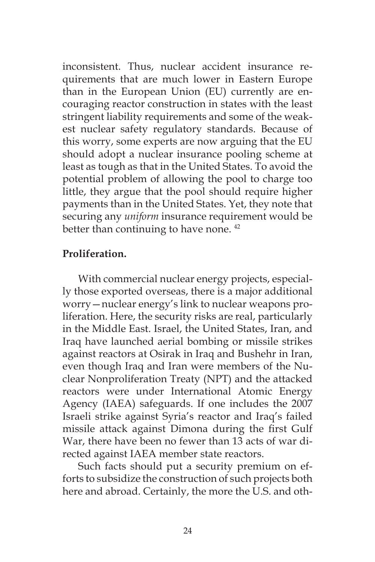inconsistent. Thus, nuclear accident insurance requirements that are much lower in Eastern Europe than in the European Union (EU) currently are encouraging reactor construction in states with the least stringent liability requirements and some of the weakest nuclear safety regulatory standards. Because of this worry, some experts are now arguing that the EU should adopt a nuclear insurance pooling scheme at least as tough as that in the United States. To avoid the potential problem of allowing the pool to charge too little, they argue that the pool should require higher payments than in the United States. Yet, they note that securing any *uniform* insurance requirement would be better than continuing to have none.<sup>42</sup>

# **Proliferation.**

With commercial nuclear energy projects, especially those exported overseas, there is a major additional worry—nuclear energy's link to nuclear weapons proliferation. Here, the security risks are real, particularly in the Middle East. Israel, the United States, Iran, and Iraq have launched aerial bombing or missile strikes against reactors at Osirak in Iraq and Bushehr in Iran, even though Iraq and Iran were members of the Nuclear Nonproliferation Treaty (NPT) and the attacked reactors were under International Atomic Energy Agency (IAEA) safeguards. If one includes the 2007 Israeli strike against Syria's reactor and Iraq's failed missile attack against Dimona during the first Gulf War, there have been no fewer than 13 acts of war directed against IAEA member state reactors.

Such facts should put a security premium on efforts to subsidize the construction of such projects both here and abroad. Certainly, the more the U.S. and oth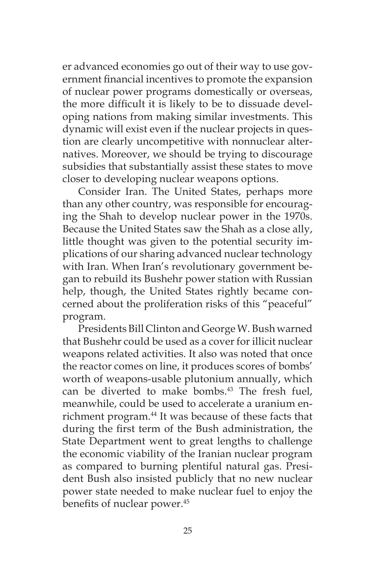er advanced economies go out of their way to use government financial incentives to promote the expansion of nuclear power programs domestically or overseas, the more difficult it is likely to be to dissuade developing nations from making similar investments. This dynamic will exist even if the nuclear projects in question are clearly uncompetitive with nonnuclear alternatives. Moreover, we should be trying to discourage subsidies that substantially assist these states to move closer to developing nuclear weapons options.

Consider Iran. The United States, perhaps more than any other country, was responsible for encouraging the Shah to develop nuclear power in the 1970s. Because the United States saw the Shah as a close ally, little thought was given to the potential security implications of our sharing advanced nuclear technology with Iran. When Iran's revolutionary government began to rebuild its Bushehr power station with Russian help, though, the United States rightly became concerned about the proliferation risks of this "peaceful" program.

Presidents Bill Clinton and George W. Bush warned that Bushehr could be used as a cover for illicit nuclear weapons related activities. It also was noted that once the reactor comes on line, it produces scores of bombs' worth of weapons-usable plutonium annually, which can be diverted to make bombs.<sup>43</sup> The fresh fuel, meanwhile, could be used to accelerate a uranium enrichment program.<sup>44</sup> It was because of these facts that during the first term of the Bush administration, the State Department went to great lengths to challenge the economic viability of the Iranian nuclear program as compared to burning plentiful natural gas. President Bush also insisted publicly that no new nuclear power state needed to make nuclear fuel to enjoy the benefits of nuclear power.45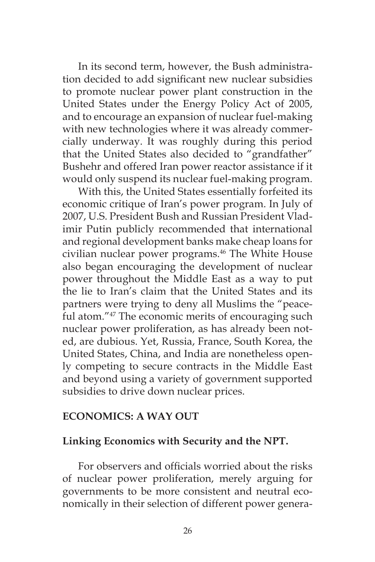In its second term, however, the Bush administration decided to add significant new nuclear subsidies to promote nuclear power plant construction in the United States under the Energy Policy Act of 2005, and to encourage an expansion of nuclear fuel-making with new technologies where it was already commercially underway. It was roughly during this period that the United States also decided to "grandfather" Bushehr and offered Iran power reactor assistance if it would only suspend its nuclear fuel-making program.

With this, the United States essentially forfeited its economic critique of Iran's power program. In July of 2007, U.S. President Bush and Russian President Vladimir Putin publicly recommended that international and regional development banks make cheap loans for civilian nuclear power programs.46 The White House also began encouraging the development of nuclear power throughout the Middle East as a way to put the lie to Iran's claim that the United States and its partners were trying to deny all Muslims the "peaceful atom."<sup>47</sup> The economic merits of encouraging such nuclear power proliferation, as has already been noted, are dubious. Yet, Russia, France, South Korea, the United States, China, and India are nonetheless openly competing to secure contracts in the Middle East and beyond using a variety of government supported subsidies to drive down nuclear prices.

### **ECONOMICS: A WAY OUT**

### **Linking Economics with Security and the NPT.**

For observers and officials worried about the risks of nuclear power proliferation, merely arguing for governments to be more consistent and neutral economically in their selection of different power genera-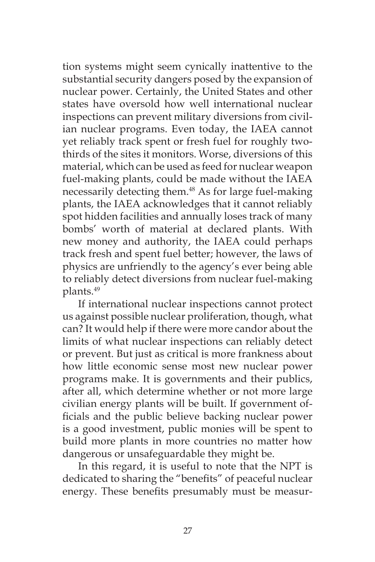tion systems might seem cynically inattentive to the substantial security dangers posed by the expansion of nuclear power. Certainly, the United States and other states have oversold how well international nuclear inspections can prevent military diversions from civilian nuclear programs. Even today, the IAEA cannot yet reliably track spent or fresh fuel for roughly twothirds of the sites it monitors. Worse, diversions of this material, which can be used as feed for nuclear weapon fuel-making plants, could be made without the IAEA necessarily detecting them.<sup>48</sup> As for large fuel-making plants, the IAEA acknowledges that it cannot reliably spot hidden facilities and annually loses track of many bombs' worth of material at declared plants. With new money and authority, the IAEA could perhaps track fresh and spent fuel better; however, the laws of physics are unfriendly to the agency's ever being able to reliably detect diversions from nuclear fuel-making plants.49

If international nuclear inspections cannot protect us against possible nuclear proliferation, though, what can? It would help if there were more candor about the limits of what nuclear inspections can reliably detect or prevent. But just as critical is more frankness about how little economic sense most new nuclear power programs make. It is governments and their publics, after all, which determine whether or not more large civilian energy plants will be built. If government officials and the public believe backing nuclear power is a good investment, public monies will be spent to build more plants in more countries no matter how dangerous or unsafeguardable they might be.

In this regard, it is useful to note that the NPT is dedicated to sharing the "benefits" of peaceful nuclear energy. These benefits presumably must be measur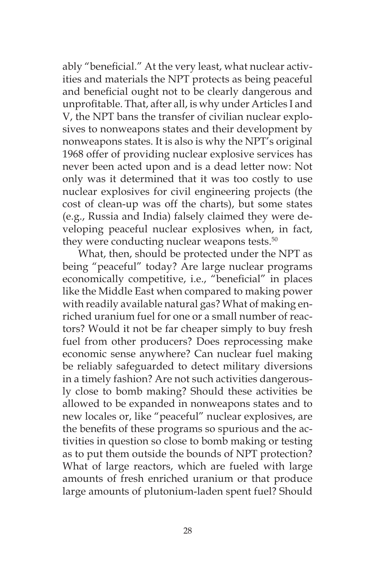ably "beneficial." At the very least, what nuclear activities and materials the NPT protects as being peaceful and beneficial ought not to be clearly dangerous and unprofitable. That, after all, is why under Articles I and V, the NPT bans the transfer of civilian nuclear explosives to nonweapons states and their development by nonweapons states. It is also is why the NPT's original 1968 offer of providing nuclear explosive services has never been acted upon and is a dead letter now: Not only was it determined that it was too costly to use nuclear explosives for civil engineering projects (the cost of clean-up was off the charts), but some states (e.g., Russia and India) falsely claimed they were developing peaceful nuclear explosives when, in fact, they were conducting nuclear weapons tests.<sup>50</sup>

What, then, should be protected under the NPT as being "peaceful" today? Are large nuclear programs economically competitive, i.e., "beneficial" in places like the Middle East when compared to making power with readily available natural gas? What of making enriched uranium fuel for one or a small number of reactors? Would it not be far cheaper simply to buy fresh fuel from other producers? Does reprocessing make economic sense anywhere? Can nuclear fuel making be reliably safeguarded to detect military diversions in a timely fashion? Are not such activities dangerously close to bomb making? Should these activities be allowed to be expanded in nonweapons states and to new locales or, like "peaceful" nuclear explosives, are the benefits of these programs so spurious and the activities in question so close to bomb making or testing as to put them outside the bounds of NPT protection? What of large reactors, which are fueled with large amounts of fresh enriched uranium or that produce large amounts of plutonium-laden spent fuel? Should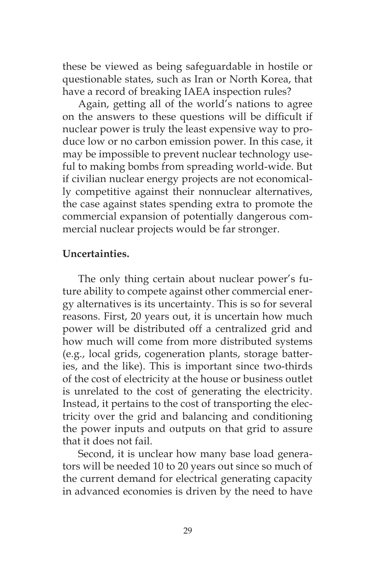these be viewed as being safeguardable in hostile or questionable states, such as Iran or North Korea, that have a record of breaking IAEA inspection rules?

Again, getting all of the world's nations to agree on the answers to these questions will be difficult if nuclear power is truly the least expensive way to produce low or no carbon emission power. In this case, it may be impossible to prevent nuclear technology useful to making bombs from spreading world-wide. But if civilian nuclear energy projects are not economically competitive against their nonnuclear alternatives, the case against states spending extra to promote the commercial expansion of potentially dangerous commercial nuclear projects would be far stronger.

# **Uncertainties.**

The only thing certain about nuclear power's future ability to compete against other commercial energy alternatives is its uncertainty. This is so for several reasons. First, 20 years out, it is uncertain how much power will be distributed off a centralized grid and how much will come from more distributed systems (e.g., local grids, cogeneration plants, storage batteries, and the like). This is important since two-thirds of the cost of electricity at the house or business outlet is unrelated to the cost of generating the electricity. Instead, it pertains to the cost of transporting the electricity over the grid and balancing and conditioning the power inputs and outputs on that grid to assure that it does not fail.

Second, it is unclear how many base load generators will be needed 10 to 20 years out since so much of the current demand for electrical generating capacity in advanced economies is driven by the need to have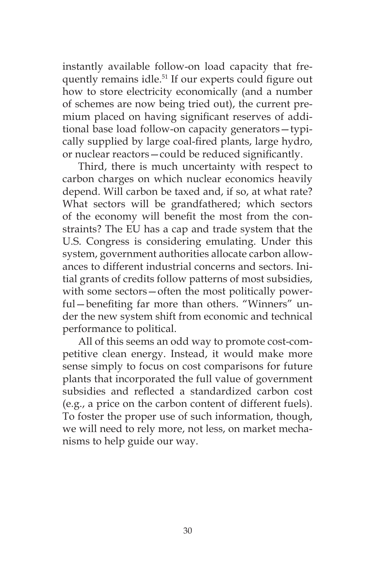instantly available follow-on load capacity that frequently remains idle.<sup>51</sup> If our experts could figure out how to store electricity economically (and a number of schemes are now being tried out), the current premium placed on having significant reserves of additional base load follow-on capacity generators—typically supplied by large coal-fired plants, large hydro, or nuclear reactors—could be reduced significantly.

Third, there is much uncertainty with respect to carbon charges on which nuclear economics heavily depend. Will carbon be taxed and, if so, at what rate? What sectors will be grandfathered; which sectors of the economy will benefit the most from the constraints? The EU has a cap and trade system that the U.S. Congress is considering emulating. Under this system, government authorities allocate carbon allowances to different industrial concerns and sectors. Initial grants of credits follow patterns of most subsidies, with some sectors—often the most politically powerful—benefiting far more than others. "Winners" under the new system shift from economic and technical performance to political.

All of this seems an odd way to promote cost-competitive clean energy. Instead, it would make more sense simply to focus on cost comparisons for future plants that incorporated the full value of government subsidies and reflected a standardized carbon cost (e.g., a price on the carbon content of different fuels). To foster the proper use of such information, though, we will need to rely more, not less, on market mechanisms to help guide our way.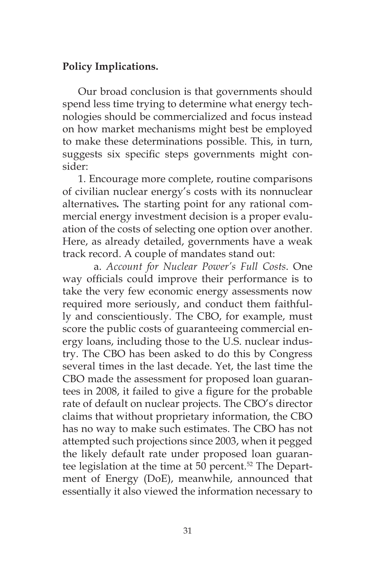# **Policy Implications.**

Our broad conclusion is that governments should spend less time trying to determine what energy technologies should be commercialized and focus instead on how market mechanisms might best be employed to make these determinations possible. This, in turn, suggests six specific steps governments might consider:

1. Encourage more complete, routine comparisons of civilian nuclear energy's costs with its nonnuclear alternatives*.* The starting point for any rational commercial energy investment decision is a proper evaluation of the costs of selecting one option over another. Here, as already detailed, governments have a weak track record. A couple of mandates stand out:

a. *Account for Nuclear Power's Full Costs*. One way officials could improve their performance is to take the very few economic energy assessments now required more seriously, and conduct them faithfully and conscientiously. The CBO, for example, must score the public costs of guaranteeing commercial energy loans, including those to the U.S. nuclear industry. The CBO has been asked to do this by Congress several times in the last decade. Yet, the last time the CBO made the assessment for proposed loan guarantees in 2008, it failed to give a figure for the probable rate of default on nuclear projects. The CBO's director claims that without proprietary information, the CBO has no way to make such estimates. The CBO has not attempted such projections since 2003, when it pegged the likely default rate under proposed loan guarantee legislation at the time at 50 percent.<sup>52</sup> The Department of Energy (DoE), meanwhile, announced that essentially it also viewed the information necessary to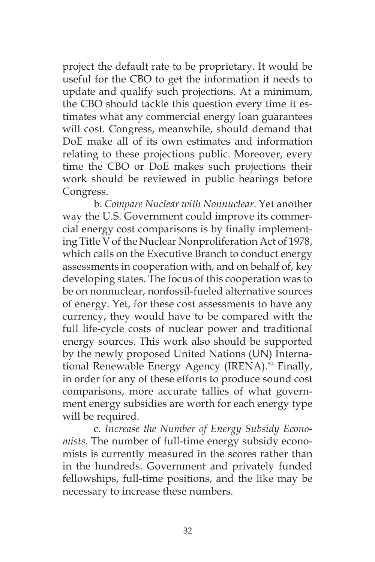project the default rate to be proprietary. It would be useful for the CBO to get the information it needs to update and qualify such projections. At a minimum, the CBO should tackle this question every time it estimates what any commercial energy loan guarantees will cost. Congress, meanwhile, should demand that DoE make all of its own estimates and information relating to these projections public. Moreover, every time the CBO or DoE makes such projections their work should be reviewed in public hearings before Congress.

b. *Compare Nuclear with Nonnuclear*. Yet another way the U.S. Government could improve its commercial energy cost comparisons is by finally implementing Title V of the Nuclear Nonproliferation Act of 1978, which calls on the Executive Branch to conduct energy assessments in cooperation with, and on behalf of, key developing states. The focus of this cooperation was to be on nonnuclear, nonfossil-fueled alternative sources of energy. Yet, for these cost assessments to have any currency, they would have to be compared with the full life-cycle costs of nuclear power and traditional energy sources. This work also should be supported by the newly proposed United Nations (UN) International Renewable Energy Agency (IRENA).<sup>53</sup> Finally, in order for any of these efforts to produce sound cost comparisons, more accurate tallies of what government energy subsidies are worth for each energy type will be required.

c. *Increase the Number of Energy Subsidy Economists*. The number of full-time energy subsidy economists is currently measured in the scores rather than in the hundreds. Government and privately funded fellowships, full-time positions, and the like may be necessary to increase these numbers.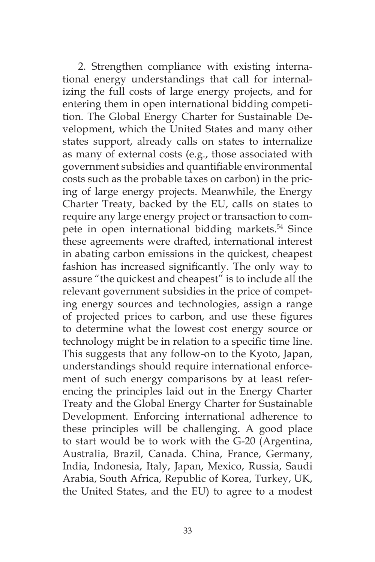2. Strengthen compliance with existing international energy understandings that call for internalizing the full costs of large energy projects, and for entering them in open international bidding competition. The Global Energy Charter for Sustainable Development, which the United States and many other states support, already calls on states to internalize as many of external costs (e.g., those associated with government subsidies and quantifiable environmental costs such as the probable taxes on carbon) in the pricing of large energy projects. Meanwhile, the Energy Charter Treaty, backed by the EU, calls on states to require any large energy project or transaction to compete in open international bidding markets.<sup>54</sup> Since these agreements were drafted, international interest in abating carbon emissions in the quickest, cheapest fashion has increased significantly. The only way to assure "the quickest and cheapest" is to include all the relevant government subsidies in the price of competing energy sources and technologies, assign a range of projected prices to carbon, and use these figures to determine what the lowest cost energy source or technology might be in relation to a specific time line. This suggests that any follow-on to the Kyoto, Japan, understandings should require international enforcement of such energy comparisons by at least referencing the principles laid out in the Energy Charter Treaty and the Global Energy Charter for Sustainable Development. Enforcing international adherence to these principles will be challenging. A good place to start would be to work with the G-20 (Argentina, Australia, Brazil, Canada. China, France, Germany, India, Indonesia, Italy, Japan, Mexico, Russia, Saudi Arabia, South Africa, Republic of Korea, Turkey, UK, the United States, and the EU) to agree to a modest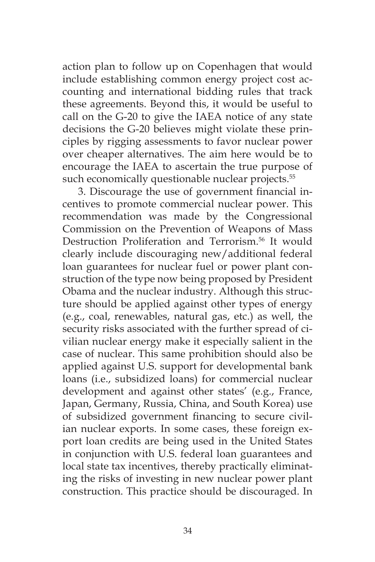action plan to follow up on Copenhagen that would include establishing common energy project cost accounting and international bidding rules that track these agreements. Beyond this, it would be useful to call on the G-20 to give the IAEA notice of any state decisions the G-20 believes might violate these principles by rigging assessments to favor nuclear power over cheaper alternatives. The aim here would be to encourage the IAEA to ascertain the true purpose of such economically questionable nuclear projects.<sup>55</sup>

3. Discourage the use of government financial incentives to promote commercial nuclear power. This recommendation was made by the Congressional Commission on the Prevention of Weapons of Mass Destruction Proliferation and Terrorism.<sup>56</sup> It would clearly include discouraging new/additional federal loan guarantees for nuclear fuel or power plant construction of the type now being proposed by President Obama and the nuclear industry. Although this structure should be applied against other types of energy (e.g., coal, renewables, natural gas, etc.) as well, the security risks associated with the further spread of civilian nuclear energy make it especially salient in the case of nuclear. This same prohibition should also be applied against U.S. support for developmental bank loans (i.e., subsidized loans) for commercial nuclear development and against other states' (e.g., France, Japan, Germany, Russia, China, and South Korea) use of subsidized government financing to secure civilian nuclear exports. In some cases, these foreign export loan credits are being used in the United States in conjunction with U.S. federal loan guarantees and local state tax incentives, thereby practically eliminating the risks of investing in new nuclear power plant construction. This practice should be discouraged. In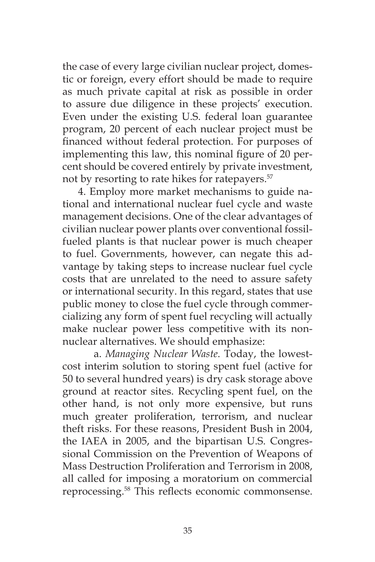the case of every large civilian nuclear project, domestic or foreign, every effort should be made to require as much private capital at risk as possible in order to assure due diligence in these projects' execution. Even under the existing U.S. federal loan guarantee program, 20 percent of each nuclear project must be financed without federal protection. For purposes of implementing this law, this nominal figure of 20 percent should be covered entirely by private investment, not by resorting to rate hikes for ratepayers.<sup>57</sup>

4. Employ more market mechanisms to guide national and international nuclear fuel cycle and waste management decisions. One of the clear advantages of civilian nuclear power plants over conventional fossilfueled plants is that nuclear power is much cheaper to fuel. Governments, however, can negate this advantage by taking steps to increase nuclear fuel cycle costs that are unrelated to the need to assure safety or international security. In this regard, states that use public money to close the fuel cycle through commercializing any form of spent fuel recycling will actually make nuclear power less competitive with its nonnuclear alternatives. We should emphasize:

a. *Managing Nuclear Waste*. Today, the lowestcost interim solution to storing spent fuel (active for 50 to several hundred years) is dry cask storage above ground at reactor sites. Recycling spent fuel, on the other hand, is not only more expensive, but runs much greater proliferation, terrorism, and nuclear theft risks. For these reasons, President Bush in 2004, the IAEA in 2005, and the bipartisan U.S. Congressional Commission on the Prevention of Weapons of Mass Destruction Proliferation and Terrorism in 2008, all called for imposing a moratorium on commercial reprocessing.58 This reflects economic commonsense.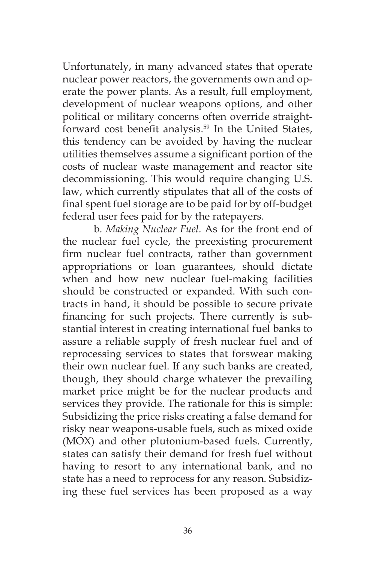Unfortunately, in many advanced states that operate nuclear power reactors, the governments own and operate the power plants. As a result, full employment, development of nuclear weapons options, and other political or military concerns often override straightforward cost benefit analysis.<sup>59</sup> In the United States, this tendency can be avoided by having the nuclear utilities themselves assume a significant portion of the costs of nuclear waste management and reactor site decommissioning. This would require changing U.S. law, which currently stipulates that all of the costs of final spent fuel storage are to be paid for by off-budget federal user fees paid for by the ratepayers.

b. *Making Nuclear Fuel*. As for the front end of the nuclear fuel cycle, the preexisting procurement firm nuclear fuel contracts, rather than government appropriations or loan guarantees, should dictate when and how new nuclear fuel-making facilities should be constructed or expanded. With such contracts in hand, it should be possible to secure private financing for such projects. There currently is substantial interest in creating international fuel banks to assure a reliable supply of fresh nuclear fuel and of reprocessing services to states that forswear making their own nuclear fuel. If any such banks are created, though, they should charge whatever the prevailing market price might be for the nuclear products and services they provide. The rationale for this is simple: Subsidizing the price risks creating a false demand for risky near weapons-usable fuels, such as mixed oxide (MOX) and other plutonium-based fuels. Currently, states can satisfy their demand for fresh fuel without having to resort to any international bank, and no state has a need to reprocess for any reason. Subsidizing these fuel services has been proposed as a way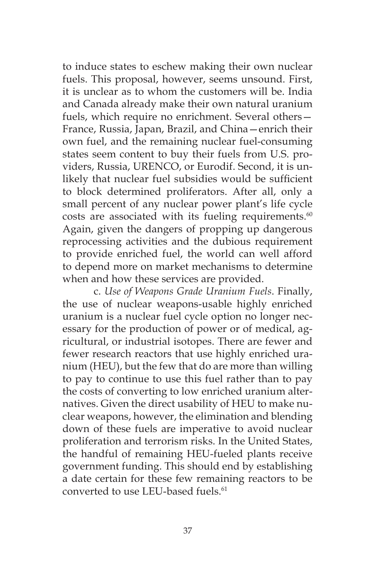to induce states to eschew making their own nuclear fuels. This proposal, however, seems unsound. First, it is unclear as to whom the customers will be. India and Canada already make their own natural uranium fuels, which require no enrichment. Several others— France, Russia, Japan, Brazil, and China—enrich their own fuel, and the remaining nuclear fuel-consuming states seem content to buy their fuels from U.S. providers, Russia, URENCO, or Eurodif. Second, it is unlikely that nuclear fuel subsidies would be sufficient to block determined proliferators. After all, only a small percent of any nuclear power plant's life cycle costs are associated with its fueling requirements. $60$ Again, given the dangers of propping up dangerous reprocessing activities and the dubious requirement to provide enriched fuel, the world can well afford to depend more on market mechanisms to determine when and how these services are provided.

c. *Use of Weapons Grade Uranium Fuels*. Finally, the use of nuclear weapons-usable highly enriched uranium is a nuclear fuel cycle option no longer necessary for the production of power or of medical, agricultural, or industrial isotopes. There are fewer and fewer research reactors that use highly enriched uranium (HEU), but the few that do are more than willing to pay to continue to use this fuel rather than to pay the costs of converting to low enriched uranium alternatives. Given the direct usability of HEU to make nuclear weapons, however, the elimination and blending down of these fuels are imperative to avoid nuclear proliferation and terrorism risks. In the United States, the handful of remaining HEU-fueled plants receive government funding. This should end by establishing a date certain for these few remaining reactors to be converted to use LEU-based fuels.<sup>61</sup>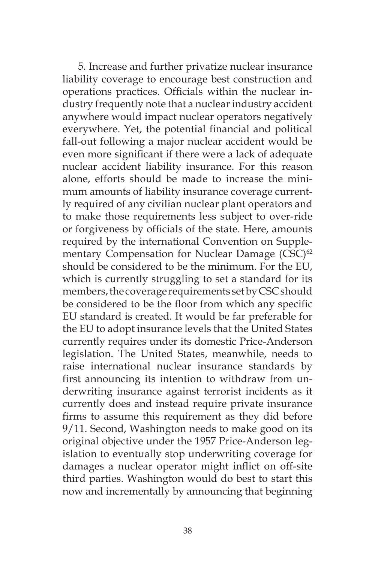5. Increase and further privatize nuclear insurance liability coverage to encourage best construction and operations practices. Officials within the nuclear industry frequently note that a nuclear industry accident anywhere would impact nuclear operators negatively everywhere. Yet, the potential financial and political fall-out following a major nuclear accident would be even more significant if there were a lack of adequate nuclear accident liability insurance. For this reason alone, efforts should be made to increase the minimum amounts of liability insurance coverage currently required of any civilian nuclear plant operators and to make those requirements less subject to over-ride or forgiveness by officials of the state. Here, amounts required by the international Convention on Supplementary Compensation for Nuclear Damage (CSC)<sup>62</sup> should be considered to be the minimum. For the EU, which is currently struggling to set a standard for its members, the coverage requirements set by CSC should be considered to be the floor from which any specific EU standard is created. It would be far preferable for the EU to adopt insurance levels that the United States currently requires under its domestic Price-Anderson legislation. The United States, meanwhile, needs to raise international nuclear insurance standards by first announcing its intention to withdraw from underwriting insurance against terrorist incidents as it currently does and instead require private insurance firms to assume this requirement as they did before 9/11. Second, Washington needs to make good on its original objective under the 1957 Price-Anderson legislation to eventually stop underwriting coverage for damages a nuclear operator might inflict on off-site third parties. Washington would do best to start this now and incrementally by announcing that beginning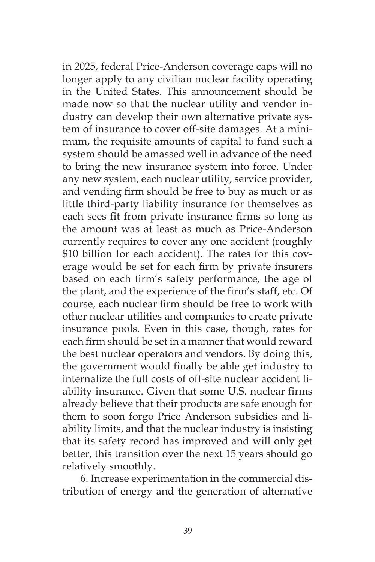in 2025, federal Price-Anderson coverage caps will no longer apply to any civilian nuclear facility operating in the United States. This announcement should be made now so that the nuclear utility and vendor industry can develop their own alternative private system of insurance to cover off-site damages. At a minimum, the requisite amounts of capital to fund such a system should be amassed well in advance of the need to bring the new insurance system into force. Under any new system, each nuclear utility, service provider, and vending firm should be free to buy as much or as little third-party liability insurance for themselves as each sees fit from private insurance firms so long as the amount was at least as much as Price-Anderson currently requires to cover any one accident (roughly \$10 billion for each accident). The rates for this coverage would be set for each firm by private insurers based on each firm's safety performance, the age of the plant, and the experience of the firm's staff, etc. Of course, each nuclear firm should be free to work with other nuclear utilities and companies to create private insurance pools. Even in this case, though, rates for each firm should be set in a manner that would reward the best nuclear operators and vendors. By doing this, the government would finally be able get industry to internalize the full costs of off-site nuclear accident liability insurance. Given that some U.S. nuclear firms already believe that their products are safe enough for them to soon forgo Price Anderson subsidies and liability limits, and that the nuclear industry is insisting that its safety record has improved and will only get better, this transition over the next 15 years should go relatively smoothly.

 6. Increase experimentation in the commercial distribution of energy and the generation of alternative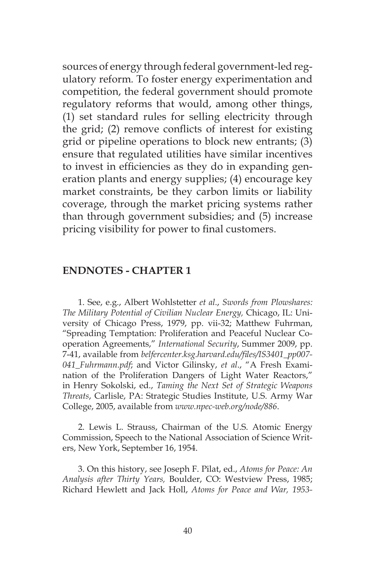sources of energy through federal government-led regulatory reform*.* To foster energy experimentation and competition, the federal government should promote regulatory reforms that would, among other things, (1) set standard rules for selling electricity through the grid; (2) remove conflicts of interest for existing grid or pipeline operations to block new entrants; (3) ensure that regulated utilities have similar incentives to invest in efficiencies as they do in expanding generation plants and energy supplies; (4) encourage key market constraints, be they carbon limits or liability coverage, through the market pricing systems rather than through government subsidies; and (5) increase pricing visibility for power to final customers.

#### **ENDNOTES - CHAPTER 1**

1. See, e.g., Albert Wohlstetter *et al*., *Swords from Plowshares: The Military Potential of Civilian Nuclear Energy,* Chicago, IL: University of Chicago Press, 1979, pp. vii-32; Matthew Fuhrman, "Spreading Temptation: Proliferation and Peaceful Nuclear Cooperation Agreements," *International Security*, Summer 2009, pp. 7-41, available from *belfercenter.ksg.harvard.edu/files/IS3401\_pp007- 041\_Fuhrmann.pdf*; and Victor Gilinsky, *et al*., "A Fresh Examination of the Proliferation Dangers of Light Water Reactors," in Henry Sokolski, ed., *Taming the Next Set of Strategic Weapons Threats*, Carlisle, PA: Strategic Studies Institute, U.S. Army War College, 2005, available from *www.npec-web.org/node/886*.

2. Lewis L. Strauss, Chairman of the U.S. Atomic Energy Commission, Speech to the National Association of Science Writers, New York, September 16, 1954.

3. On this history, see Joseph F. Pilat, ed., *Atoms for Peace: An Analysis after Thirty Years,* Boulder, CO: Westview Press, 1985; Richard Hewlett and Jack Holl, *Atoms for Peace and War, 1953-*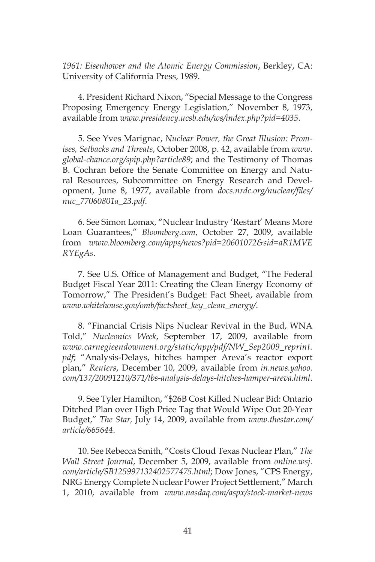*1961: Eisenhower and the Atomic Energy Commission*, Berkley, CA: University of California Press, 1989.

4. President Richard Nixon, "Special Message to the Congress Proposing Emergency Energy Legislation," November 8, 1973, available from *www.presidency.ucsb.edu/ws/index.php?pid=4035*.

5. See Yves Marignac, *Nuclear Power, the Great Illusion: Promises, Setbacks and Threats*, October 2008, p. 42, available from *www. global-chance.org/spip.php?article89*; and the Testimony of Thomas B. Cochran before the Senate Committee on Energy and Natural Resources, Subcommittee on Energy Research and Development, June 8, 1977, available from *docs.nrdc.org/nuclear/files/ nuc\_77060801a\_23.pdf*.

6. See Simon Lomax, "Nuclear Industry 'Restart' Means More Loan Guarantees," *Bloomberg.com*, October 27, 2009, available from *www.bloomberg.com/apps/news?pid=20601072&sid=aR1MVE RYEgAs*.

7. See U.S. Office of Management and Budget, "The Federal Budget Fiscal Year 2011: Creating the Clean Energy Economy of Tomorrow," The President's Budget: Fact Sheet, available from *www.whitehouse.gov/omb/factsheet\_key\_clean\_energy/*.

8. "Financial Crisis Nips Nuclear Revival in the Bud, WNA Told," *Nucleonics Week*, September 17, 2009, available from *www.carnegieendowment.org/static/npp/pdf/NW\_Sep2009\_reprint. pdf*; "Analysis-Delays, hitches hamper Areva's reactor export plan," *Reuters*, December 10, 2009, available from *in.news.yahoo. com/137/20091210/371/tbs-analysis-delays-hitches-hamper-areva.html*.

9. See Tyler Hamilton, "\$26B Cost Killed Nuclear Bid: Ontario Ditched Plan over High Price Tag that Would Wipe Out 20-Year Budget," *The Star,* July 14, 2009, available from *www.thestar.com/ article/665644*.

10. See Rebecca Smith, "Costs Cloud Texas Nuclear Plan," *The Wall Street Journal*, December 5, 2009, available from *online.wsj. com/article/SB125997132402577475.html*; Dow Jones, "CPS Energy, NRG Energy Complete Nuclear Power Project Settlement," March 1, 2010, available from *www.nasdaq.com/aspx/stock-market-news*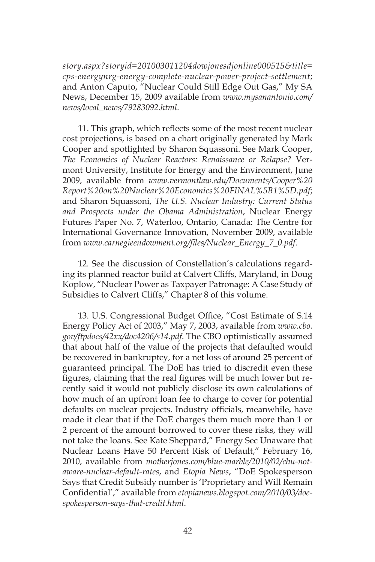*story.aspx?storyid=201003011204dowjonesdjonline000515&title= cps-energynrg-energy-complete-nuclear-power-project-settlement*; and Anton Caputo, "Nuclear Could Still Edge Out Gas," My SA News, December 15, 2009 available from *www.mysanantonio.com/ news/local\_news/79283092.html*.

11. This graph, which reflects some of the most recent nuclear cost projections, is based on a chart originally generated by Mark Cooper and spotlighted by Sharon Squassoni. See Mark Cooper, *The Economics of Nuclear Reactors: Renaissance or Relapse?* Vermont University, Institute for Energy and the Environment, June 2009, available from *www.vermontlaw.edu/Documents/Cooper%20 Report%20on%20Nuclear%20Economics%20FINAL%5B1%5D.pdf*; and Sharon Squassoni, *The U.S. Nuclear Industry: Current Status and Prospects under the Obama Administration*, Nuclear Energy Futures Paper No. 7, Waterloo, Ontario, Canada: The Centre for International Governance Innovation, November 2009, available from *www.carnegieendowment.org/files/Nuclear\_Energy\_7\_0.pdf*.

12. See the discussion of Constellation's calculations regarding its planned reactor build at Calvert Cliffs, Maryland, in Doug Koplow, "Nuclear Power as Taxpayer Patronage: A Case Study of Subsidies to Calvert Cliffs," Chapter 8 of this volume.

13. U.S. Congressional Budget Office, "Cost Estimate of S.14 Energy Policy Act of 2003," May 7, 2003, available from *www.cbo. gov/ftpdocs/42xx/doc4206/s14.pdf*. The CBO optimistically assumed that about half of the value of the projects that defaulted would be recovered in bankruptcy, for a net loss of around 25 percent of guaranteed principal. The DoE has tried to discredit even these figures, claiming that the real figures will be much lower but recently said it would not publicly disclose its own calculations of how much of an upfront loan fee to charge to cover for potential defaults on nuclear projects. Industry officials, meanwhile, have made it clear that if the DoE charges them much more than 1 or 2 percent of the amount borrowed to cover these risks, they will not take the loans. See Kate Sheppard," Energy Sec Unaware that Nuclear Loans Have 50 Percent Risk of Default," February 16, 2010, available from *motherjones.com/blue-marble/2010/02/chu-notaware-nuclear-default-rates*, and *Etopia News*, "DoE Spokesperson Says that Credit Subsidy number is 'Proprietary and Will Remain Confidential'," available from *etopianews.blogspot.com/2010/03/doespokesperson-says-that-credit.html*.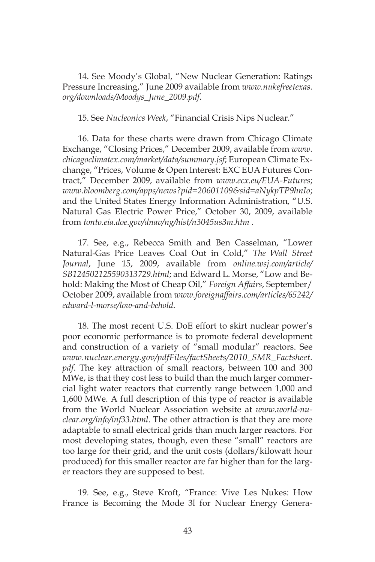14. See Moody's Global, "New Nuclear Generation: Ratings Pressure Increasing," June 2009 available from *www.nukefreetexas. org/downloads/Moodys\_June\_2009.pdf*.

15. See *Nucleonics Week*, "Financial Crisis Nips Nuclear."

16. Data for these charts were drawn from Chicago Climate Exchange, "Closing Prices," December 2009, available from *www. chicagoclimatex.com/market/data/summary.jsf*; European Climate Exchange, "Prices, Volume & Open Interest: EXC EUA Futures Contract," December 2009, available from *www.ecx.eu/EUA-Futures*; *www.bloomberg.com/apps/news?pid=20601109&sid=aNykpTP9hnIo*; and the United States Energy Information Administration, "U.S. Natural Gas Electric Power Price," October 30, 2009, available from *tonto.eia.doe.gov/dnav/ng/hist/n3045us3m.htm* .

17. See, e.g., Rebecca Smith and Ben Casselman, "Lower Natural-Gas Price Leaves Coal Out in Cold," *The Wall Street Journal*, June 15, 2009, available from *online.wsj.com/article/ SB124502125590313729.html*; and Edward L. Morse, "Low and Behold: Making the Most of Cheap Oil," *Foreign Affairs*, September/ October 2009, available from *www.foreignaffairs.com/articles/65242/ edward-l-morse/low-and-behold*.

18. The most recent U.S. DoE effort to skirt nuclear power's poor economic performance is to promote federal development and construction of a variety of "small modular" reactors. See *www.nuclear.energy.gov/pdfFiles/factSheets/2010\_SMR\_Factsheet. pdf*. The key attraction of small reactors, between 100 and 300 MWe, is that they cost less to build than the much larger commercial light water reactors that currently range between 1,000 and 1,600 MWe. A full description of this type of reactor is available from the World Nuclear Association website at *www.world-nuclear.org/info/inf33.html*. The other attraction is that they are more adaptable to small electrical grids than much larger reactors. For most developing states, though, even these "small" reactors are too large for their grid, and the unit costs (dollars/kilowatt hour produced) for this smaller reactor are far higher than for the larger reactors they are supposed to best.

19. See, e.g., Steve Kroft, "France: Vive Les Nukes: How France is Becoming the Mode 3l for Nuclear Energy Genera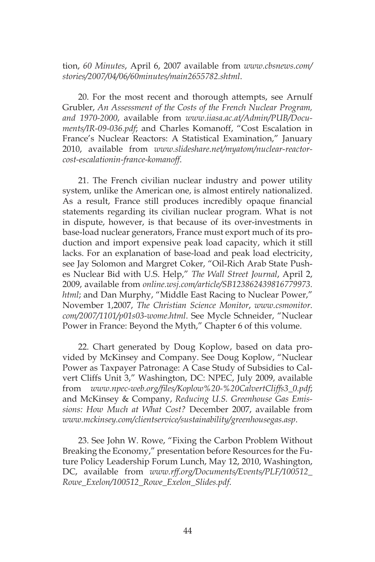tion, *60 Minutes*, April 6, 2007 available from *www.cbsnews.com/ stories/2007/04/06/60minutes/main2655782.shtml*.

20. For the most recent and thorough attempts, see Arnulf Grubler, *An Assessment of the Costs of the French Nuclear Program, and 1970-2000*, available from *www.iiasa.ac.at/Admin/PUB/Documents/IR-09-036.pdf*; and Charles Komanoff, "Cost Escalation in France's Nuclear Reactors: A Statistical Examination," January 2010, available from *www.slideshare.net/myatom/nuclear-reactorcost-escalationin-france-komanoff*.

21. The French civilian nuclear industry and power utility system, unlike the American one, is almost entirely nationalized. As a result, France still produces incredibly opaque financial statements regarding its civilian nuclear program. What is not in dispute, however, is that because of its over-investments in base-load nuclear generators, France must export much of its production and import expensive peak load capacity, which it still lacks. For an explanation of base-load and peak load electricity, see Jay Solomon and Margret Coker, "Oil-Rich Arab State Pushes Nuclear Bid with U.S. Help," *The Wall Street Journal*, April 2, 2009, available from *online.wsj.com/article/SB123862439816779973. html*; and Dan Murphy, "Middle East Racing to Nuclear Power," November 1,2007, *The Christian Science Monitor*, *www.csmonitor. com/2007/1101/p01s03-wome.html*. See Mycle Schneider, "Nuclear Power in France: Beyond the Myth," Chapter 6 of this volume.

22. Chart generated by Doug Koplow, based on data provided by McKinsey and Company. See Doug Koplow, "Nuclear Power as Taxpayer Patronage: A Case Study of Subsidies to Calvert Cliffs Unit 3," Washington, DC: NPEC, July 2009, available from *www.npec-web.org/files/Koplow%20-%20CalvertCliffs3\_0.pdf*; and McKinsey & Company, *Reducing U.S. Greenhouse Gas Emissions: How Much at What Cost?* December 2007, available from *www.mckinsey.com/clientservice/sustainability/greenhousegas.asp*.

23. See John W. Rowe, "Fixing the Carbon Problem Without Breaking the Economy," presentation before Resources for the Future Policy Leadership Forum Lunch, May 12, 2010, Washington, DC, available from *www.rff.org/Documents/Events/PLF/100512\_ Rowe\_Exelon/100512\_Rowe\_Exelon\_Slides.pdf*.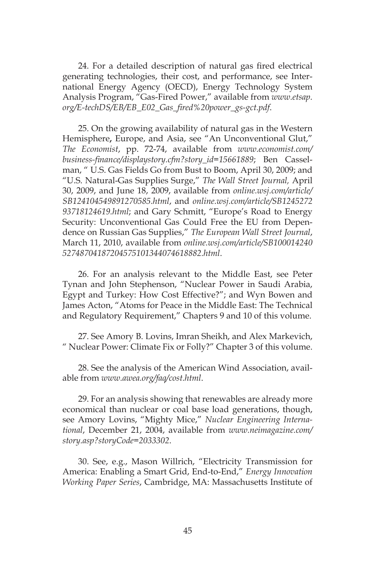24. For a detailed description of natural gas fired electrical generating technologies, their cost, and performance, see International Energy Agency (OECD), Energy Technology System Analysis Program, "Gas-Fired Power," available from *www.etsap. org/E-techDS/EB/EB\_E02\_Gas\_fired%20power\_gs-gct.pdf*.

25. On the growing availability of natural gas in the Western Hemisphere**,** Europe, and Asia, see "An Unconventional Glut," *The Economist*, pp. 72-74, available from *www.economist.com/ business-finance/displaystory.cfm?story\_id=15661889*; Ben Casselman, " U.S. Gas Fields Go from Bust to Boom, April 30, 2009; and "U.S. Natural-Gas Supplies Surge," *The Wall Street Journal,* April 30, 2009, and June 18, 2009, available from *online.wsj.com/article/ SB124104549891270585.html*, and *online.wsj.com/article/SB1245272 93718124619.html*; and Gary Schmitt, "Europe's Road to Energy Security: Unconventional Gas Could Free the EU from Dependence on Russian Gas Supplies," *The European Wall Street Journal*, March 11, 2010, available from *online.wsj.com/article/SB100014240 52748704187204575101344074618882.html*.

26. For an analysis relevant to the Middle East, see Peter Tynan and John Stephenson, "Nuclear Power in Saudi Arabia, Egypt and Turkey: How Cost Effective?"; and Wyn Bowen and James Acton, "Atoms for Peace in the Middle East: The Technical and Regulatory Requirement," Chapters 9 and 10 of this volume.

27. See Amory B. Lovins, Imran Sheikh, and Alex Markevich, " Nuclear Power: Climate Fix or Folly?" Chapter 3 of this volume.

28. See the analysis of the American Wind Association, available from *www.awea.org/faq/cost.html*.

29. For an analysis showing that renewables are already more economical than nuclear or coal base load generations, though, see Amory Lovins, "Mighty Mice," *Nuclear Engineering International*, December 21, 2004, available from *www.neimagazine.com/ story.asp?storyCode=2033302*.

30. See, e.g., Mason Willrich, "Electricity Transmission for America: Enabling a Smart Grid, End-to-End," *Energy Innovation Working Paper Series*, Cambridge, MA: Massachusetts Institute of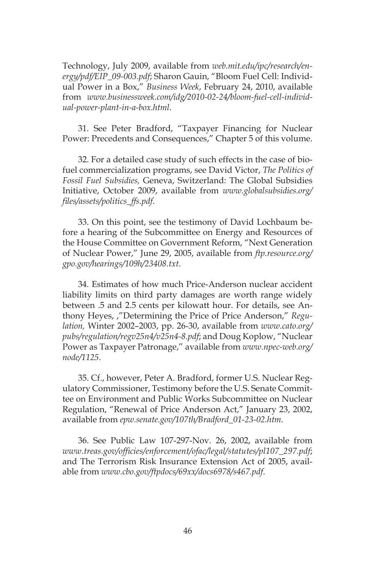Technology, July 2009, available from *web.mit.edu/ipc/research/energy/pdf/EIP\_09-003.pdf*; Sharon Gauin, "Bloom Fuel Cell: Individual Power in a Box," *Business Week*, February 24, 2010, available from *www.businessweek.com/idg/2010-02-24/bloom-fuel-cell-individual-power-plant-in-a-box.html*.

31. See Peter Bradford, "Taxpayer Financing for Nuclear Power: Precedents and Consequences," Chapter 5 of this volume.

32. For a detailed case study of such effects in the case of biofuel commercialization programs, see David Victor, *The Politics of Fossil Fuel Subsidies,* Geneva, Switzerland: The Global Subsidies Initiative, October 2009, available from *www.globalsubsidies.org/ files/assets/politics\_ffs.pdf*.

33. On this point, see the testimony of David Lochbaum before a hearing of the Subcommittee on Energy and Resources of the House Committee on Government Reform, "Next Generation of Nuclear Power," June 29, 2005, available from *ftp.resource.org/ gpo.gov/hearings/109h/23408.txt*.

34. Estimates of how much Price-Anderson nuclear accident liability limits on third party damages are worth range widely between .5 and 2.5 cents per kilowatt hour. For details, see Anthony Heyes, ,"Determining the Price of Price Anderson," *Regulation,* Winter 2002–2003, pp. 26-30, available from *www.cato.org/ pubs/regulation/regv25n4/v25n4-8.pdf*; and Doug Koplow, "Nuclear Power as Taxpayer Patronage," available from *www.npec-web.org/ node/1125*.

35. Cf., however, Peter A. Bradford, former U.S. Nuclear Regulatory Commissioner, Testimony before the U.S. Senate Committee on Environment and Public Works Subcommittee on Nuclear Regulation, "Renewal of Price Anderson Act," January 23, 2002, available from *epw.senate.gov/107th/Bradford\_01-23-02.htm*.

36. See Public Law 107-297-Nov. 26, 2002, available from *www.treas.gov/officies/enforcement/ofac/legal/statutes/pl107\_297.pdf*; and The Terrorism Risk Insurance Extension Act of 2005, available from *www.cbo.gov/ftpdocs/69xx/docs6978/s467.pdf*.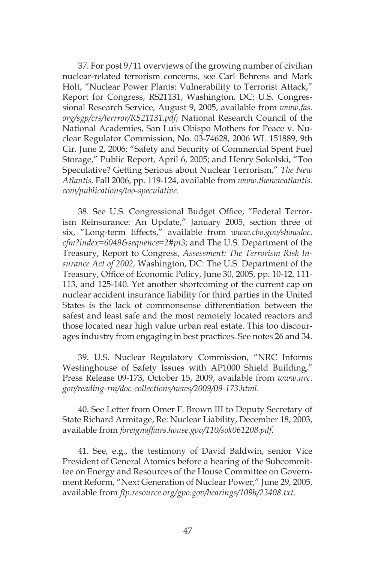37. For post 9/11 overviews of the growing number of civilian nuclear-related terrorism concerns, see Carl Behrens and Mark Holt, "Nuclear Power Plants: Vulnerability to Terrorist Attack," Report for Congress, RS21131, Washington, DC: U.S. Congressional Research Service, August 9, 2005, available from *www.fas. org/sgp/crs/terrror/RS21131.pdf*; National Research Council of the National Academies, San Luis Obispo Mothers for Peace v. Nuclear Regulator Commission, No. 03-74628, 2006 WL 151889, 9th Cir. June 2, 2006; "Safety and Security of Commercial Spent Fuel Storage," Public Report, April 6, 2005; and Henry Sokolski, "Too Speculative? Getting Serious about Nuclear Terrorism," *The New Atlantis,* Fall 2006, pp. 119-124, available from *www.thenewatlantis. com/publications/too-speculative*.

38. See U.S. Congressional Budget Office, "Federal Terrorism Reinsurance: An Update," January 2005, section three of six, "Long-term Effects," available from *www.cbo.gov/showdoc. cfm?index=6049&sequence=2#pt3*; and The U.S. Department of the Treasury, Report to Congress, *Assessment: The Terrorism Risk Insurance Act of 2002,* Washington, DC: The U.S. Department of the Treasury, Office of Economic Policy, June 30, 2005, pp. 10-12, 111- 113, and 125-140. Yet another shortcoming of the current cap on nuclear accident insurance liability for third parties in the United States is the lack of commonsense differentiation between the safest and least safe and the most remotely located reactors and those located near high value urban real estate. This too discourages industry from engaging in best practices. See notes 26 and 34.

39. U.S. Nuclear Regulatory Commission, "NRC Informs Westinghouse of Safety Issues with AP1000 Shield Building," Press Release 09-173, October 15, 2009, available from *www.nrc. gov/reading-rm/doc-collections/news/2009/09-173.html*.

40. See Letter from Omer F. Brown III to Deputy Secretary of State Richard Armitage, Re: Nuclear Liability, December 18, 2003, available from *foreignaffairs.house.gov/110/sok061208.pdf*.

41. See, e.g., the testimony of David Baldwin, senior Vice President of General Atomics before a hearing of the Subcommittee on Energy and Resources of the House Committee on Government Reform, "Next Generation of Nuclear Power," June 29, 2005, available from *ftp.resource.org/gpo.gov/hearings/109h/23408.txt*.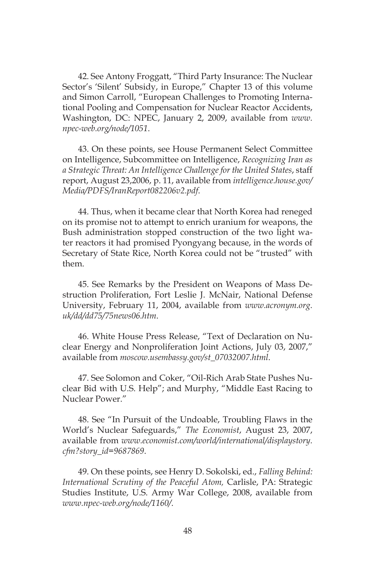42. See Antony Froggatt, "Third Party Insurance: The Nuclear Sector's 'Silent' Subsidy, in Europe," Chapter 13 of this volume and Simon Carroll, "European Challenges to Promoting International Pooling and Compensation for Nuclear Reactor Accidents, Washington, DC: NPEC, January 2, 2009, available from *www. npec-web.org/node/1051*.

43. On these points, see House Permanent Select Committee on Intelligence, Subcommittee on Intelligence, *Recognizing Iran as a Strategic Threat: An Intelligence Challenge for the United States*, staff report, August 23,2006, p. 11, available from *intelligence.house.gov/ Media/PDFS/IranReport082206v2.pdf*.

44. Thus, when it became clear that North Korea had reneged on its promise not to attempt to enrich uranium for weapons, the Bush administration stopped construction of the two light water reactors it had promised Pyongyang because, in the words of Secretary of State Rice, North Korea could not be "trusted" with them.

45. See Remarks by the President on Weapons of Mass Destruction Proliferation, Fort Leslie J. McNair, National Defense University, February 11, 2004, available from *www.acronym.org. uk/dd/dd75/75news06.htm*.

46. White House Press Release, "Text of Declaration on Nuclear Energy and Nonproliferation Joint Actions, July 03, 2007," available from *moscow.usembassy.gov/st\_07032007.html*.

47. See Solomon and Coker, "Oil-Rich Arab State Pushes Nuclear Bid with U.S. Help"; and Murphy, "Middle East Racing to Nuclear Power."

48. See "In Pursuit of the Undoable, Troubling Flaws in the World's Nuclear Safeguards," *The Economist*, August 23, 2007, available from *www.economist.com/world/international/displaystory. cfm?story\_id=9687869*.

49. On these points, see Henry D. Sokolski, ed., *Falling Behind: International Scrutiny of the Peaceful Atom,* Carlisle, PA: Strategic Studies Institute, U.S. Army War College, 2008, available from *www.npec-web.org/node/1160/*.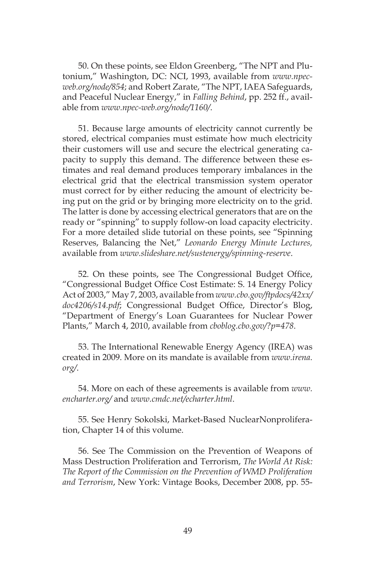50. On these points, see Eldon Greenberg, "The NPT and Plutonium," Washington, DC: NCI, 1993, available from *www.npecweb.org/node/854*; and Robert Zarate, "The NPT, IAEA Safeguards, and Peaceful Nuclear Energy," in *Falling Behind*, pp. 252 ff., available from *www.npec-web.org/node/1160/*.

51. Because large amounts of electricity cannot currently be stored, electrical companies must estimate how much electricity their customers will use and secure the electrical generating capacity to supply this demand. The difference between these estimates and real demand produces temporary imbalances in the electrical grid that the electrical transmission system operator must correct for by either reducing the amount of electricity being put on the grid or by bringing more electricity on to the grid. The latter is done by accessing electrical generators that are on the ready or "spinning" to supply follow-on load capacity electricity. For a more detailed slide tutorial on these points, see "Spinning Reserves, Balancing the Net," *Leonardo Energy Minute Lectures,* available from *www.slideshare.net/sustenergy/spinning-reserve*.

52. On these points, see The Congressional Budget Office, "Congressional Budget Office Cost Estimate: S. 14 Energy Policy Act of 2003," May 7, 2003, available from *www.cbo.gov/ftpdocs/42xx/ doc4206/s14.pdf*; Congressional Budget Office, Director's Blog, "Department of Energy's Loan Guarantees for Nuclear Power Plants," March 4, 2010, available from *cboblog.cbo.gov/?p=478*.

53. The International Renewable Energy Agency (IREA) was created in 2009. More on its mandate is available from *www.irena. org/*.

54. More on each of these agreements is available from *www. encharter.org/* and *www.cmdc.net/echarter.html*.

55. See Henry Sokolski, Market-Based NuclearNonproliferation, Chapter 14 of this volume.

56. See The Commission on the Prevention of Weapons of Mass Destruction Proliferation and Terrorism, *The World At Risk: The Report of the Commission on the Prevention of WMD Proliferation and Terrorism*, New York: Vintage Books, December 2008, pp. 55